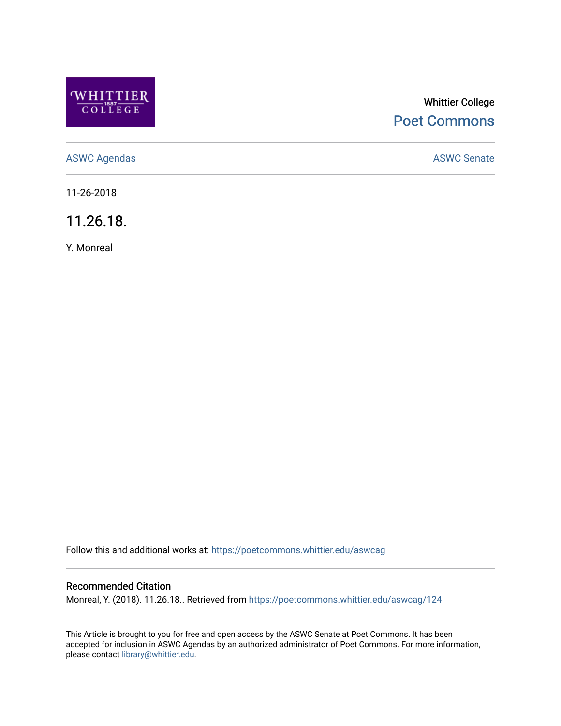

# Whittier College [Poet Commons](https://poetcommons.whittier.edu/)

[ASWC Agendas](https://poetcommons.whittier.edu/aswcag) **ASWC Senate** 

11-26-2018

11.26.18.

Y. Monreal

Follow this and additional works at: [https://poetcommons.whittier.edu/aswcag](https://poetcommons.whittier.edu/aswcag?utm_source=poetcommons.whittier.edu%2Faswcag%2F124&utm_medium=PDF&utm_campaign=PDFCoverPages) 

# Recommended Citation

Monreal, Y. (2018). 11.26.18.. Retrieved from [https://poetcommons.whittier.edu/aswcag/124](https://poetcommons.whittier.edu/aswcag/124?utm_source=poetcommons.whittier.edu%2Faswcag%2F124&utm_medium=PDF&utm_campaign=PDFCoverPages) 

This Article is brought to you for free and open access by the ASWC Senate at Poet Commons. It has been accepted for inclusion in ASWC Agendas by an authorized administrator of Poet Commons. For more information, please contact [library@whittier.edu](mailto:library@whittier.edu).